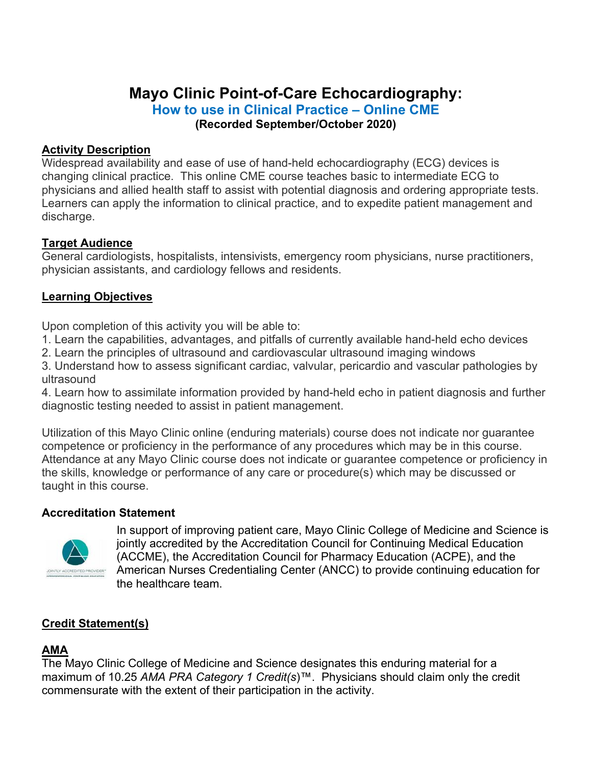# **Mayo Clinic Point-of-Care Echocardiography: How to use in Clinical Practice – Online CME (Recorded September/October 2020)**

### **Activity Description**

Widespread availability and ease of use of hand-held echocardiography (ECG) devices is changing clinical practice. This online CME course teaches basic to intermediate ECG to physicians and allied health staff to assist with potential diagnosis and ordering appropriate tests. Learners can apply the information to clinical practice, and to expedite patient management and discharge.

#### **Target Audience**

General cardiologists, hospitalists, intensivists, emergency room physicians, nurse practitioners, physician assistants, and cardiology fellows and residents.

### **Learning Objectives**

Upon completion of this activity you will be able to:

1. Learn the capabilities, advantages, and pitfalls of currently available hand-held echo devices

2. Learn the principles of ultrasound and cardiovascular ultrasound imaging windows

3. Understand how to assess significant cardiac, valvular, pericardio and vascular pathologies by ultrasound

4. Learn how to assimilate information provided by hand-held echo in patient diagnosis and further diagnostic testing needed to assist in patient management.

Utilization of this Mayo Clinic online (enduring materials) course does not indicate nor guarantee competence or proficiency in the performance of any procedures which may be in this course. Attendance at any Mayo Clinic course does not indicate or guarantee competence or proficiency in the skills, knowledge or performance of any care or procedure(s) which may be discussed or taught in this course.

#### **Accreditation Statement**



In support of improving patient care, Mayo Clinic College of Medicine and Science is jointly accredited by the Accreditation Council for Continuing Medical Education (ACCME), the Accreditation Council for Pharmacy Education (ACPE), and the American Nurses Credentialing Center (ANCC) to provide continuing education for the healthcare team.

# **Credit Statement(s)**

# **AMA**

The Mayo Clinic College of Medicine and Science designates this enduring material for a maximum of 10.25 *AMA PRA Category 1 Credit(s*)™. Physicians should claim only the credit commensurate with the extent of their participation in the activity.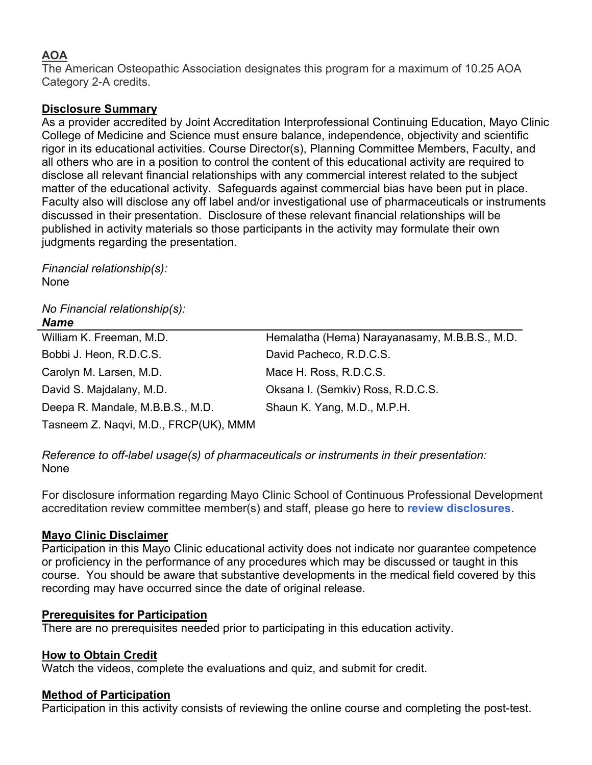# **AOA**

The American Osteopathic Association designates this program for a maximum of 10.25 AOA Category 2-A credits.

### **Disclosure Summary**

As a provider accredited by Joint Accreditation Interprofessional Continuing Education, Mayo Clinic College of Medicine and Science must ensure balance, independence, objectivity and scientific rigor in its educational activities. Course Director(s), Planning Committee Members, Faculty, and all others who are in a position to control the content of this educational activity are required to disclose all relevant financial relationships with any commercial interest related to the subject matter of the educational activity. Safeguards against commercial bias have been put in place. Faculty also will disclose any off label and/or investigational use of pharmaceuticals or instruments discussed in their presentation. Disclosure of these relevant financial relationships will be published in activity materials so those participants in the activity may formulate their own judgments regarding the presentation.

*Financial relationship(s):*  None

# *No Financial relationship(s):*

| <b>Name</b>                           |                                               |
|---------------------------------------|-----------------------------------------------|
| William K. Freeman, M.D.              | Hemalatha (Hema) Narayanasamy, M.B.B.S., M.D. |
| Bobbi J. Heon, R.D.C.S.               | David Pacheco, R.D.C.S.                       |
| Carolyn M. Larsen, M.D.               | Mace H. Ross, R.D.C.S.                        |
| David S. Majdalany, M.D.              | Oksana I. (Semkiv) Ross, R.D.C.S.             |
| Deepa R. Mandale, M.B.B.S., M.D.      | Shaun K. Yang, M.D., M.P.H.                   |
| Tasneem Z. Naqvi, M.D., FRCP(UK), MMM |                                               |

*Reference to off-label usage(s) of pharmaceuticals or instruments in their presentation:*  None

For disclosure information regarding Mayo Clinic School of Continuous Professional Development accreditation review committee member(s) and staff, please go here to **review disclosures**.

### **Mayo Clinic Disclaimer**

Participation in this Mayo Clinic educational activity does not indicate nor guarantee competence or proficiency in the performance of any procedures which may be discussed or taught in this course. You should be aware that substantive developments in the medical field covered by this recording may have occurred since the date of original release.

### **Prerequisites for Participation**

There are no prerequisites needed prior to participating in this education activity.

### **How to Obtain Credit**

Watch the videos, complete the evaluations and quiz, and submit for credit.

### **Method of Participation**

Participation in this activity consists of reviewing the online course and completing the post-test.